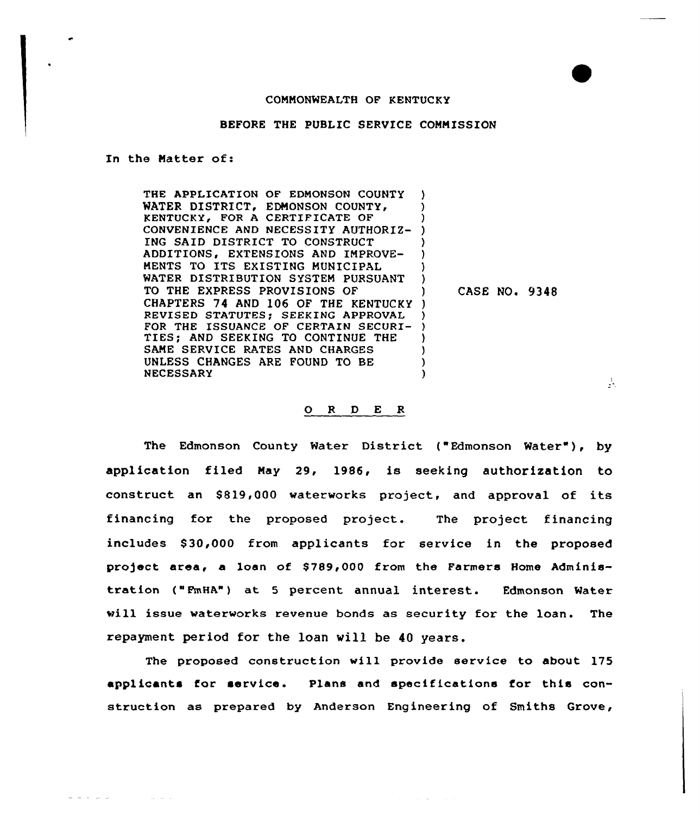## COMMONWEALTH OF KENTUCKY

## BEFORE THE PUBLIC SERVICE COMMISSION

In the Matter of:

 $\omega_{\rm c} = \omega_{\rm c} + \omega_{\rm c} + \omega_{\rm c}$ 

and a state of

THE APPLICATION OF EDMONSON COUNTY WATER DISTRICT, EDMONSON COUNTY, KENTUCKY, FOR A CERTIFICATE OF CONVENIENCE AND NECESSITY AUTHORIZ-ING SAID DISTRICT TO CONSTRUCT ADDITIONS, EXTENSIONS AND IMPROVE-MENTS TO ITS EXISTING MUNICIPAL WATER DISTRIBUTION SYSTEM PURSUANT TO THE EXPRESS PROVISIONS QF CHAPTERS 74 AND 106 OF THE KENTUCKY ) REVISED STATUTES; SEEKING APPROVAL REVISED STATUTES; SEEKING APPROVAL )<br>FOR THE ISSUANCE OF CERTAIN SECURI- ) TIES; AND SEEKING TO CONTINUE THE SAME SERVICE RATES AND CHARGES UNLESS CHANGES ARE FOUND TO BE NECESSARY ) ) ) ) ) ) CASE NO. 9348 ) ) ) ) )

## 0 <sup>R</sup> <sup>D</sup> E R

The Edmonson County Water District ("Edmonson Water"), by application filed May 29, 1986, is seeking authorization to construct an \$819,000 waterworks project, and approval of its financing for the proposed project. The project financing includes \$30,000 from applicants for service in the proposed project area, a loan of \$789,000 from the Farmers Home Administration ("FmHA") at <sup>5</sup> percent annual interest. Edmonson water vill issue waterworks revenue bonds as security for the loan. The repayment period for the loan vill be 40 years.

The proposed construction vill provide service to about 175 applicants for service. Plans and specifications for this construction as prepared by Anderson Engineering of Smiths Grove,

Å.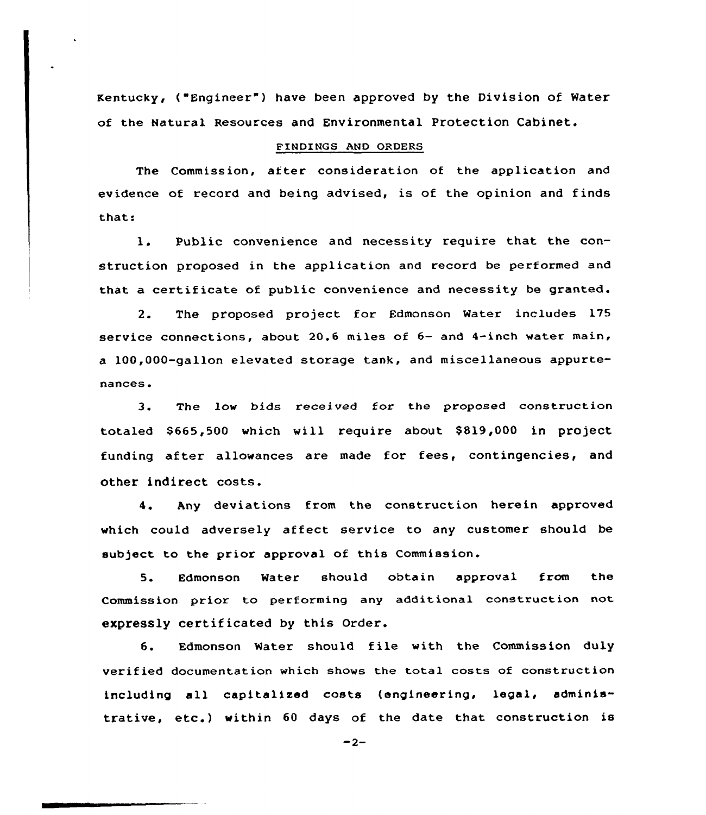Kentucky, ("Engineer") have been approved by the Division of Water of the Natural Resources and Environmental Protection Cabinet.

## FINDINGS AND ORDERS

The Commission, after consideration of the application and evidence of record and being advised, is of the opinion and finds thats

1. Public convenience and necessity require that the construction proposed in the application and record be performed and that a certificate of public convenience and necessity be granted.

2. The proposed project for Edmonson water includes 175 service connections, about 20.6 miles of 6- and 4-inch water main, a 100,000-gallon elevated storage tank, and miscellaneous appurtenances.

3. The low bids received for the proposed construction totaled \$ 665,500 which will require about \$ 819,000 in project funding after allowances are made for fees, contingencies, and other indirect costs.

4. Any deviations from the construction herein approved which could adversely affect service to any customer should be subject to the prior approval of this Commission.

5. Edmonson Water should obtain approval from the Commission prior to performing any additional construction not expressly certificated by this Order.

6. Edmonson Water should file with the Commission duly verified documentation which shows the total costs of construction including all capitalized costs (engineering, legal, administrative, etc.) within 60 days of the date that construction is

 $-2-$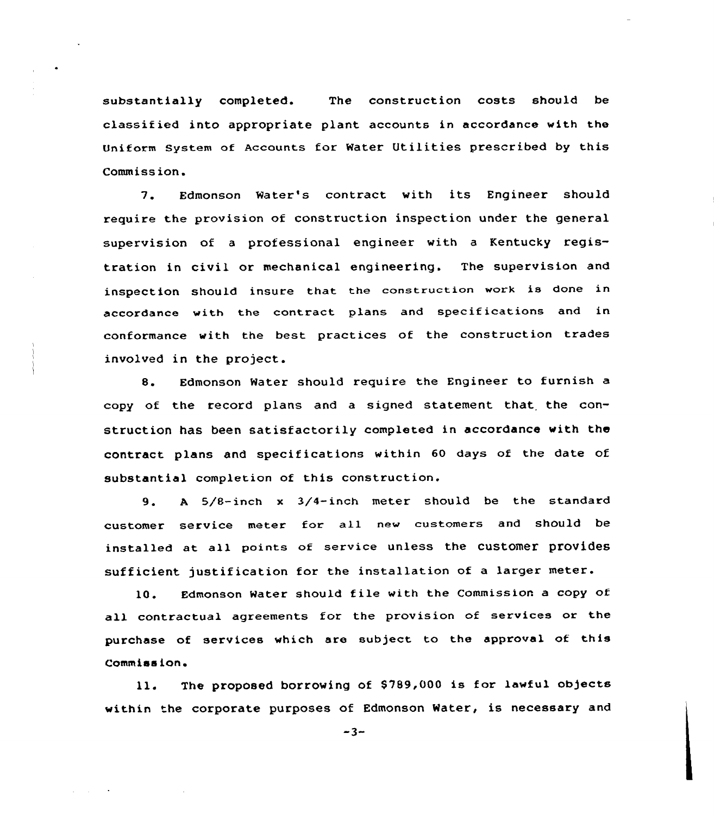substantially completed. The construction costs should be classified into appropriate plant accounts in accordance with the Uniform System of Accounts for Water Utilities prescribed by this Commission.

7. Edmonson Water's contract with its Engineer should require the provision of construction inspection under the general supervision of <sup>a</sup> professional engineer with <sup>a</sup> Kentucky registration in civil or mechanical engineering. The supervision and inspection should insure that the construction work is done in accordance with the contract plans and specifications and in conformance with the best practices of the construction trades involved in the project.

8. Edmonson Water should require the Engineer to furnish a copy of the record plans and a signed statement that. the construction has been satisfactorily completed in accordance with the contract plans and specifications within 60 days of the date of substantial completion of this construction.

9. <sup>A</sup> 5/8-inch <sup>x</sup> 3/4-inch meter should be the standard customer service meter for all new customers and should be installed at all points of service unless the customer provides sufficient justification for the installation of a larger meter.

10. Edmonson Mater should file with the Commission <sup>a</sup> copy of all contractual agreements for the provision of services or the purchase of services which are subject to the approval of this Commission.

ll. The proposed borrowing of \$789,000 is for lawful objects within the corporate purposes of Edmonson Water, is necessary and

 $-3-$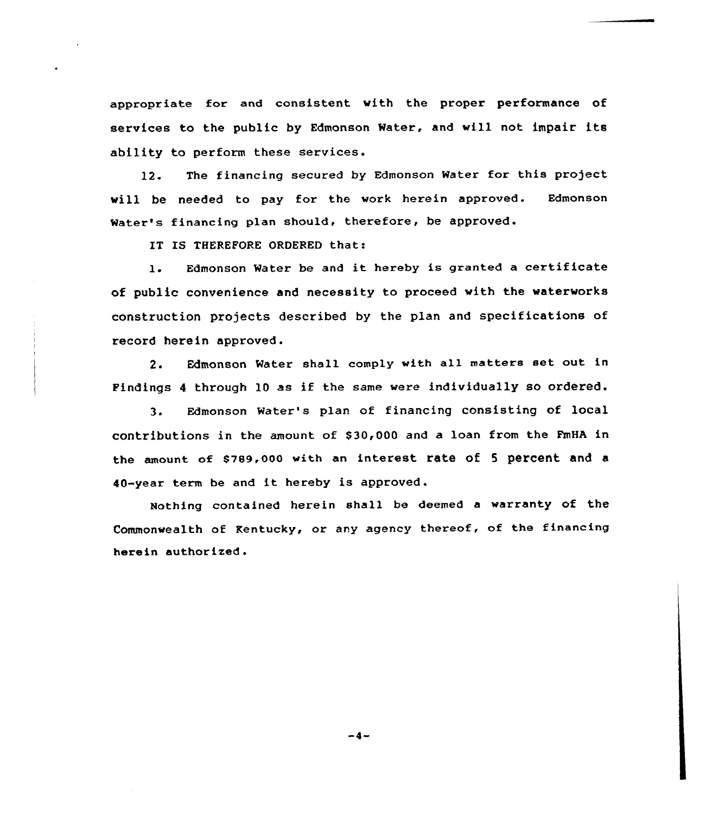appropriate for and consistent with the proper performance of services to the public by Edmonson Water, and will not impair its ability to perform these services.

12. The financing secured by Edmonson Water for this project will be needed to pay for the work herein approved. Edmonson Water's financing plan should, therefore, be approved.

IT IS THEREFORE ORDERED that:

l. Edmonson Water be and it hereby is granted <sup>a</sup> certificate of public convenience and necessity to proceed with the waterworks construction projects described by the plan and specifications of record herein approved.

2. Edmonson Water shall comply with all matters set out in Findings <sup>4</sup> through 10 as if the same were individually so ordered.

3. Edmonson Water's plan of financing consisting of local contributions in the amount of \$ 30,000 and a loan from the FmHA in the amount of 8789,000 with an interest rate of <sup>5</sup> percent and a 40-year term be and it hereby is approved.

Nothing contained herein shall be deemed a warranty of the Commonwealth of Kentucky, or any agency thereof, of the financing herein authorized.

-4-